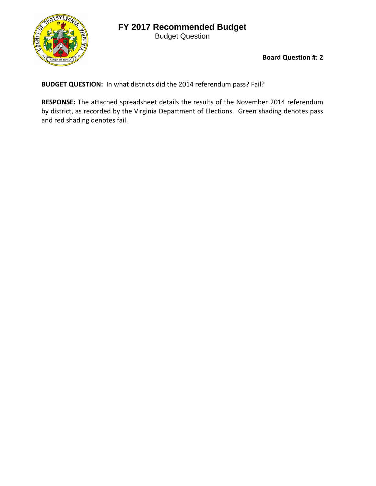## **FY 2017 Recommended Budget**

Budget Question



**Board Question #: 2**

**BUDGET QUESTION:** In what districts did the 2014 referendum pass? Fail?

**RESPONSE:** The attached spreadsheet details the results of the November 2014 referendum by district, as recorded by the Virginia Department of Elections. Green shading denotes pass and red shading denotes fail.